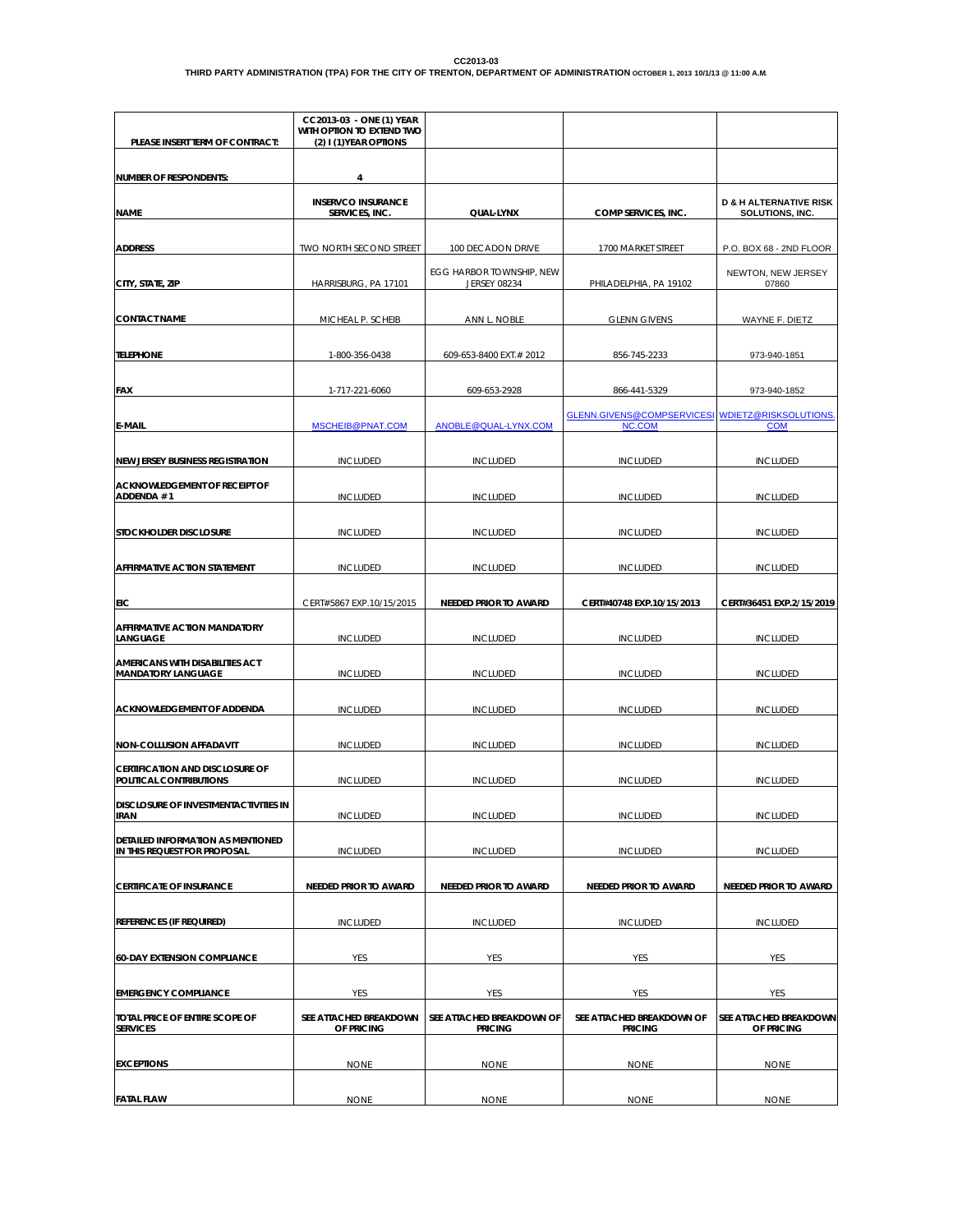| PLEASE INSERT TERM OF CONTRACT:                                     | CC2013-03 - ONE (1) YEAR<br>WITH OPTION TO EXTEND TWO<br>(2) I (1) YEAR OPTIONS |                                                 |                                                            |                                                      |
|---------------------------------------------------------------------|---------------------------------------------------------------------------------|-------------------------------------------------|------------------------------------------------------------|------------------------------------------------------|
| <b>NUMBER OF RESPONDENTS:</b>                                       | 4                                                                               |                                                 |                                                            |                                                      |
| <b>NAME</b>                                                         | <b>INSERVCO INSURANCE</b><br>SERVICES, INC.                                     | QUAL-LYNX                                       | COMP SERVICES, INC.                                        | <b>D &amp; H ALTERNATIVE RISK</b><br>SOLUTIONS, INC. |
| <b>ADDRESS</b>                                                      | TWO NORTH SECOND STREET                                                         | 100 DECADON DRIVE                               | 1700 MARKET STREET                                         | P.O. BOX 68 - 2ND FLOOR                              |
| CITY, STATE, ZIP                                                    | HARRISBURG, PA 17101                                                            | EGG HARBOR TOWNSHIP, NEW<br><b>JERSEY 08234</b> | PHILADELPHIA, PA 19102                                     | NEWTON, NEW JERSEY<br>07860                          |
| <b>CONTACT NAME</b>                                                 | MICHEAL P. SCHEIB                                                               | ANN L. NOBLE                                    | <b>GLENN GIVENS</b>                                        | WAYNE F. DIETZ                                       |
| <b>TELEPHONE</b>                                                    | 1-800-356-0438                                                                  | 609-653-8400 EXT.# 2012                         | 856-745-2233                                               | 973-940-1851                                         |
| <b>FAX</b>                                                          | 1-717-221-6060                                                                  | 609-653-2928                                    | 866-441-5329                                               | 973-940-1852                                         |
| <b>E-MAIL</b>                                                       | MSCHEIB@PNAT.COM                                                                | ANOBLE@QUAL-LYNX.COM                            | GLENN.GIVENS@COMPSERVICESI WDIETZ@RISKSOLUTIONS.<br>NC.COM | <b>COM</b>                                           |
| <b>NEW JERSEY BUSINESS REGISTRATION</b>                             | <b>INCLUDED</b>                                                                 | <b>INCLUDED</b>                                 | <b>INCLUDED</b>                                            | <b>INCLUDED</b>                                      |
| <b>ACKNOWLEDGEMENT OF RECEIPT OF</b><br>ADDENDA #1                  | <b>INCLUDED</b>                                                                 | <b>INCLUDED</b>                                 | <b>INCLUDED</b>                                            | <b>INCLUDED</b>                                      |
| STOCKHOLDER DISCLOSURE                                              | <b>INCLUDED</b>                                                                 | <b>INCLUDED</b>                                 | <b>INCLUDED</b>                                            | <b>INCLUDED</b>                                      |
| AFFIRMATIVE ACTION STATEMENT                                        | <b>INCLUDED</b>                                                                 | <b>INCLUDED</b>                                 | <b>INCLUDED</b>                                            | <b>INCLUDED</b>                                      |
| EIC                                                                 | CERT#5867 EXP.10/15/2015                                                        | NEEDED PRIOR TO AWARD                           | CERT#40748 EXP.10/15/2013                                  | CERT#36451 EXP.2/15/2019                             |
| <b>AFFIRMATIVE ACTION MANDATORY</b><br>LANGUAGE                     | <b>INCLUDED</b>                                                                 | <b>INCLUDED</b>                                 | <b>INCLUDED</b>                                            | <b>INCLUDED</b>                                      |
| <b>AMERICANS WITH DISABILITIES ACT</b><br><b>MANDATORY LANGUAGE</b> | <b>INCLUDED</b>                                                                 | <b>INCLUDED</b>                                 | <b>INCLUDED</b>                                            | <b>INCLUDED</b>                                      |
| ACKNOWLEDGEMENT OF ADDENDA                                          | <b>INCLUDED</b>                                                                 | <b>INCLUDED</b>                                 | <b>INCLUDED</b>                                            | <b>INCLUDED</b>                                      |
| <b>NON-COLLUSION AFFADAVIT</b>                                      | <b>INCLUDED</b>                                                                 | <b>INCLUDED</b>                                 | <b>INCLUDED</b>                                            | <b>INCLUDED</b>                                      |
| <b>CERTIFICATION AND DISCLOSURE OF</b><br>POLITICAL CONTRIBUTIONS   | <b>INCLUDED</b>                                                                 | <b>INCLUDED</b>                                 | <b>INCLUDED</b>                                            | <b>INCLUDED</b>                                      |
| DISCLOSURE OF INVESTMENTACTIVITIES IN<br><b>IRAN</b>                | <b>INCLUDED</b>                                                                 | <b>INCLUDED</b>                                 | <b>INCLUDED</b>                                            | <b>INCLUDED</b>                                      |
| DETAILED INFORMATION AS MENTIONED<br>IN THIS REQUEST FOR PROPOSAL   | <b>INCLUDED</b>                                                                 | <b>INCLUDED</b>                                 | <b>INCLUDED</b>                                            | <b>INCLUDED</b>                                      |
| <b>CERTIFICATE OF INSURANCE</b>                                     | NEEDED PRIOR TO AWARD                                                           | NEEDED PRIOR TO AWARD                           | NEEDED PRIOR TO AWARD                                      | <b>NEEDED PRIOR TO AWARD</b>                         |
| REFERENCES (IF REQUIRED)                                            | <b>INCLUDED</b>                                                                 | <b>INCLUDED</b>                                 | <b>INCLUDED</b>                                            | <b>INCLUDED</b>                                      |
| <b>60-DAY EXTENSION COMPLIANCE</b>                                  | YES                                                                             | YES                                             | YES                                                        | YES                                                  |
| <b>EMERGENCY COMPLIANCE</b>                                         | YES                                                                             | YES                                             | YES                                                        | YES                                                  |
| TOTAL PRICE OF ENTIRE SCOPE OF<br><b>SERVICES</b>                   | SEE ATTACHED BREAKDOWN<br>OF PRICING                                            | SEE ATTACHED BREAKDOWN OF<br><b>PRICING</b>     | SEE ATTACHED BREAKDOWN OF<br><b>PRICING</b>                | SEE ATTACHED BREAKDOWN<br>OF PRICING                 |
| <b>EXCEPTIONS</b>                                                   | <b>NONE</b>                                                                     | <b>NONE</b>                                     | <b>NONE</b>                                                | <b>NONE</b>                                          |
| <b>FATAL FLAW</b>                                                   | <b>NONE</b>                                                                     | <b>NONE</b>                                     | <b>NONE</b>                                                | <b>NONE</b>                                          |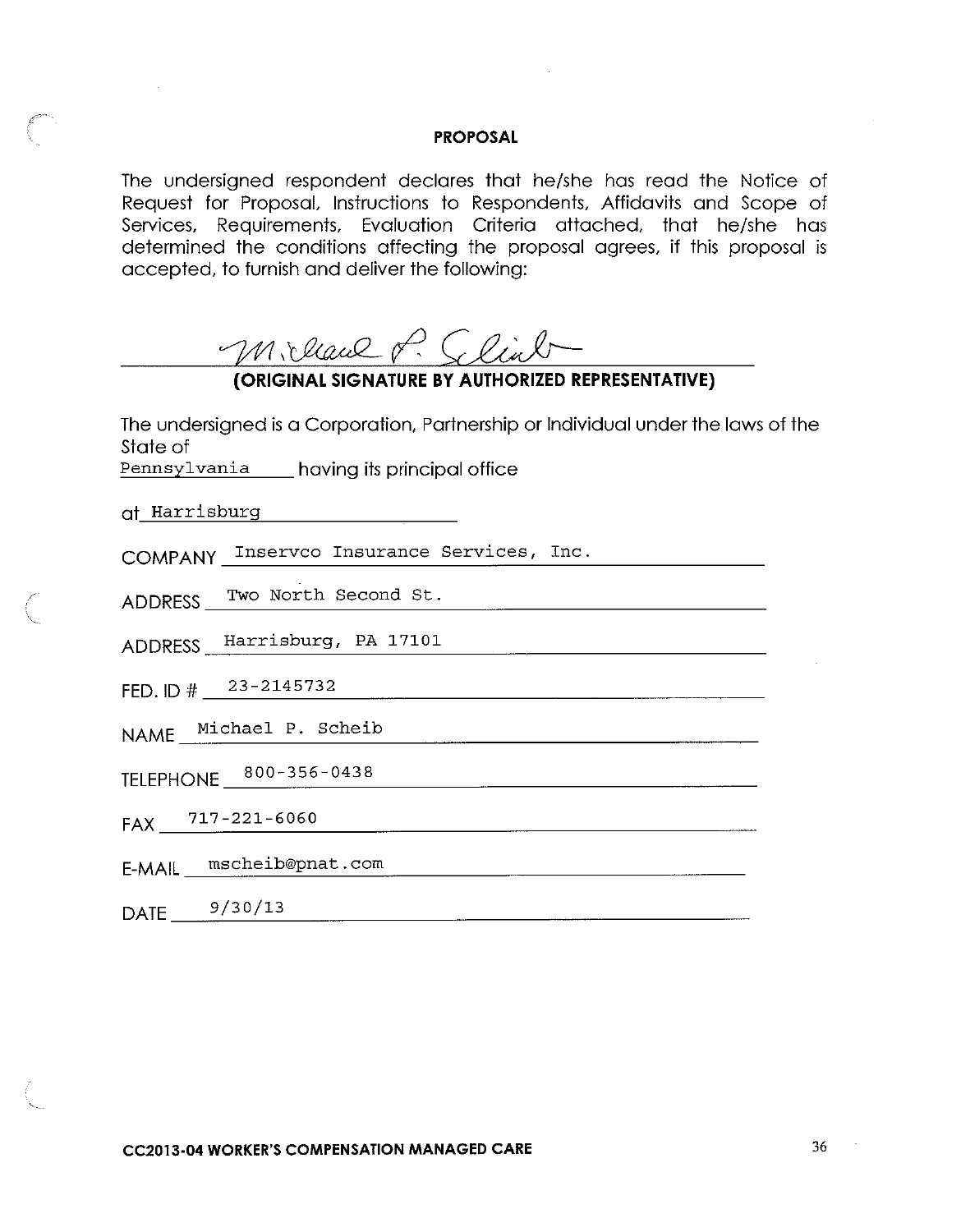The undersigned respondent declares that he/she has read the Notice of Request for Proposal, Instructions to Respondents, Affidavits and Scope of Services, Requirements, Evaluation Criteria attached, that he/she has determined the conditions affecting the proposal agrees, if this proposal is accepted, to furnish and deliver the following:

Millaul P. Selint

## (ORIGINAL SIGNATURE BY AUTHORIZED REPRESENTATIVE)

The undersigned is a Corporation, Partnership or Individual under the laws of the State of

Pennsylvania having its principal office

COMPANY Inservco Insurance Services, Inc.

ADDRESS Two North Second St.

ADDRESS Harrisburg, PA 17101

FED. ID #  $2^{3-2145732}$ 

NAME Michael P. Scheib

FAX 717-221-6060

E-MAIL mscheib@pnat.com

DATE  $\frac{9}{30/13}$ 

**CC2013-04 WORKER'S COMPENSATION MANAGED CARE** 

 $\sim$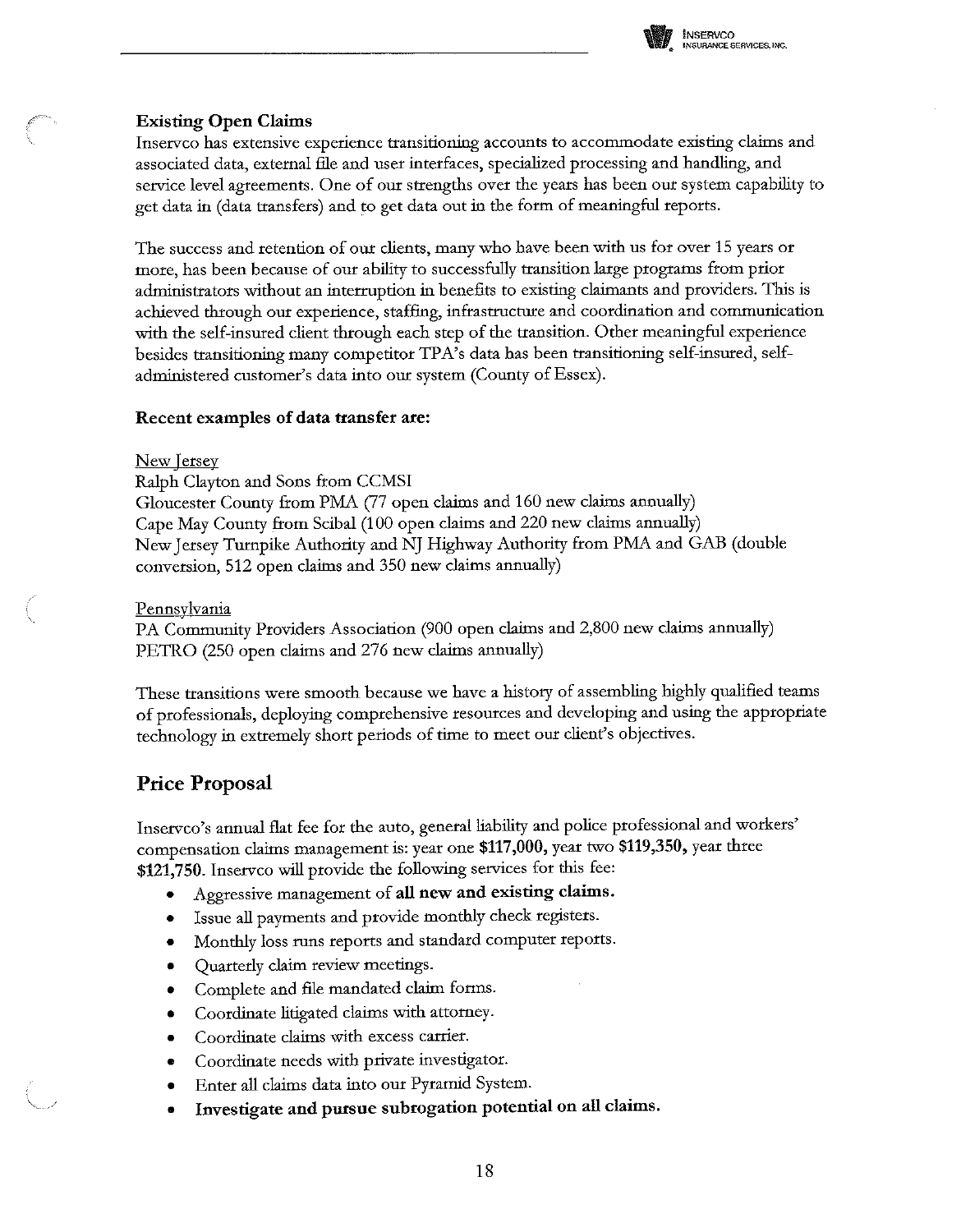

### **Existing Open Claims**

Inserveo has extensive experience transitioning accounts to accommodate existing claims and associated data, external file and user interfaces, specialized processing and handling, and service level agreements. One of our strengths over the years has been our system capability to get data in (data transfers) and to get data out in the form of meaningful reports.

The success and retention of our clients, many who have been with us for over 15 years or more, has been because of our ability to successfully transition large programs from prior administrators without an interruption in benefits to existing claimants and providers. This is achieved through our experience, staffing, infrastructure and coordination and communication with the self-insured client through each step of the transition. Other meaningful experience besides transitioning many competitor TPA's data has been transitioning self-insured, selfadministered customer's data into our system (County of Essex).

#### Recent examples of data transfer are:

#### New Jersey

Ralph Clayton and Sons from CCMSI Gloucester County from PMA (77 open claims and 160 new claims annually) Cape May County from Scibal (100 open claims and 220 new claims annually) New Jersey Turnpike Authority and NJ Highway Authority from PMA and GAB (double conversion, 512 open claims and 350 new claims annually)

#### Pennsylvania

PA Community Providers Association (900 open claims and 2,800 new claims annually) PETRO (250 open claims and 276 new claims annually)

These transitions were smooth because we have a history of assembling highly qualified teams of professionals, deploying comprehensive resources and developing and using the appropriate technology in extremely short periods of time to meet our client's objectives.

## **Price Proposal**

Inservco's annual flat fee for the auto, general liability and police professional and workers' compensation claims management is: year one \$117,000, year two \$119,350, year three \$121,750. Inservco will provide the following services for this fee:

- Aggressive management of all new and existing claims.
- Issue all payments and provide monthly check registers.
- Monthly loss runs reports and standard computer reports.
- $\bullet$ Quarterly claim review meetings.
- Complete and file mandated claim forms.  $\bullet$
- Coordinate litigated claims with attorney.  $\bullet$
- Coordinate claims with excess carrier.
- Coordinate needs with private investigator.  $\bullet$
- Enter all claims data into our Pyramid System.  $\bullet$
- Investigate and pursue subrogation potential on all claims.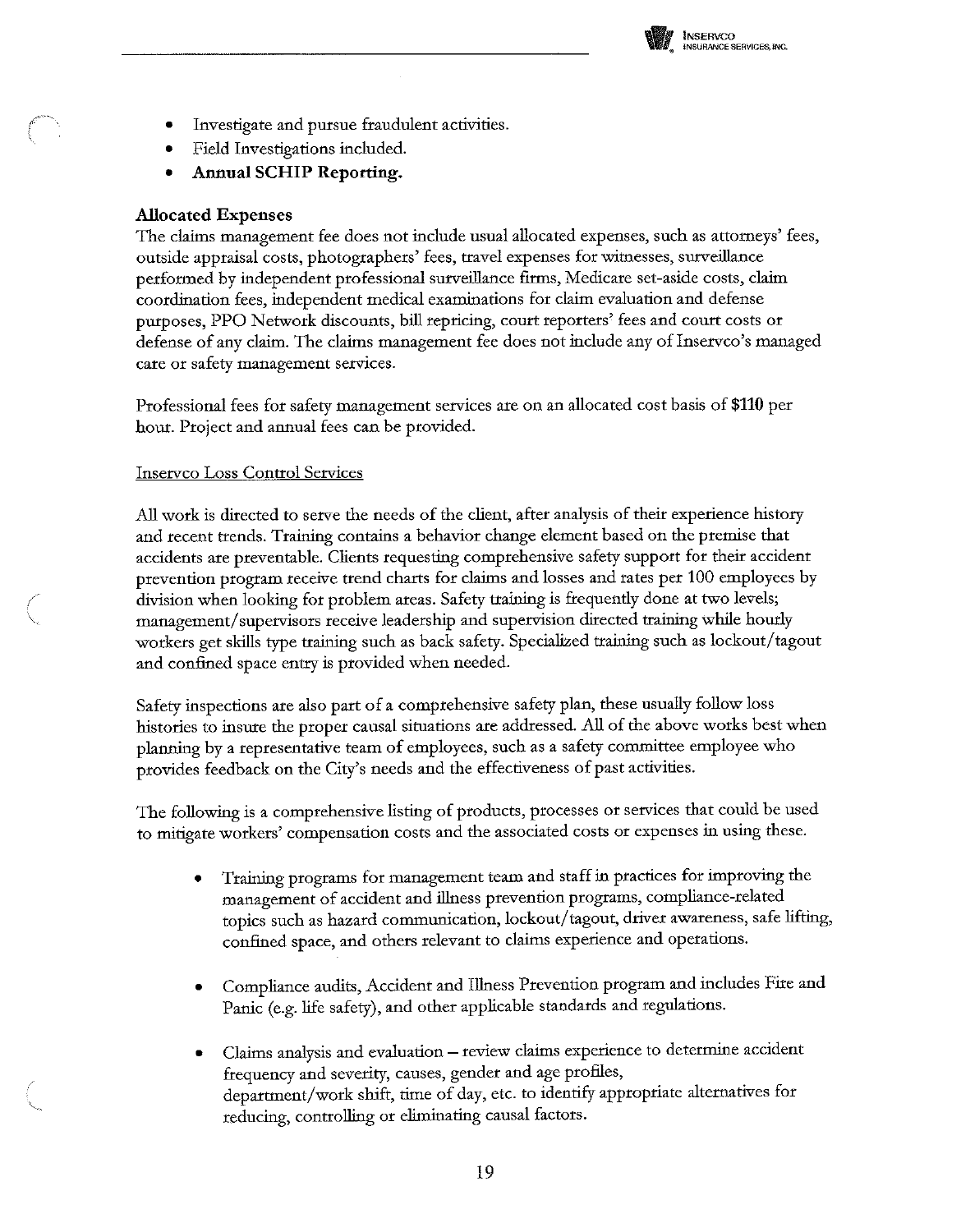

- Investigate and pursue fraudulent activities.
- Field Investigations included.
- **Annual SCHIP Reporting.**

## **Allocated Expenses**

The claims management fee does not include usual allocated expenses, such as attorneys' fees, outside appraisal costs, photographers' fees, travel expenses for witnesses, surveillance performed by independent professional surveillance firms, Medicare set-aside costs, claim coordination fees, independent medical examinations for claim evaluation and defense purposes, PPO Network discounts, bill repricing, court reporters' fees and court costs or defense of any claim. The claims management fee does not include any of Inservio's managed care or safety management services.

Professional fees for safety management services are on an allocated cost basis of \$110 per hour. Project and annual fees can be provided.

### **Inservco Loss Control Services**

All work is directed to serve the needs of the client, after analysis of their experience history and recent trends. Training contains a behavior change element based on the premise that accidents are preventable. Clients requesting comprehensive safety support for their accident prevention program receive trend charts for claims and losses and rates per 100 employees by division when looking for problem areas. Safety training is frequently done at two levels; management/supervisors receive leadership and supervision directed training while hourly workers get skills type training such as back safety. Specialized training such as lockout/tagout and confined space entry is provided when needed.

Safety inspections are also part of a comprehensive safety plan, these usually follow loss histories to insure the proper causal situations are addressed. All of the above works best when planning by a representative team of employees, such as a safety committee employee who provides feedback on the City's needs and the effectiveness of past activities.

The following is a comprehensive listing of products, processes or services that could be used to mitigate workers' compensation costs and the associated costs or expenses in using these.

- Training programs for management team and staff in practices for improving the management of accident and illness prevention programs, compliance-related topics such as hazard communication, lockout/tagout, driver awareness, safe lifting, confined space, and others relevant to claims experience and operations.
- Compliance audits, Accident and Illness Prevention program and includes Fire and Panic (e.g. life safety), and other applicable standards and regulations.
- Claims analysis and evaluation review claims experience to determine accident frequency and severity, causes, gender and age profiles, department/work shift, time of day, etc. to identify appropriate alternatives for reducing, controlling or eliminating causal factors.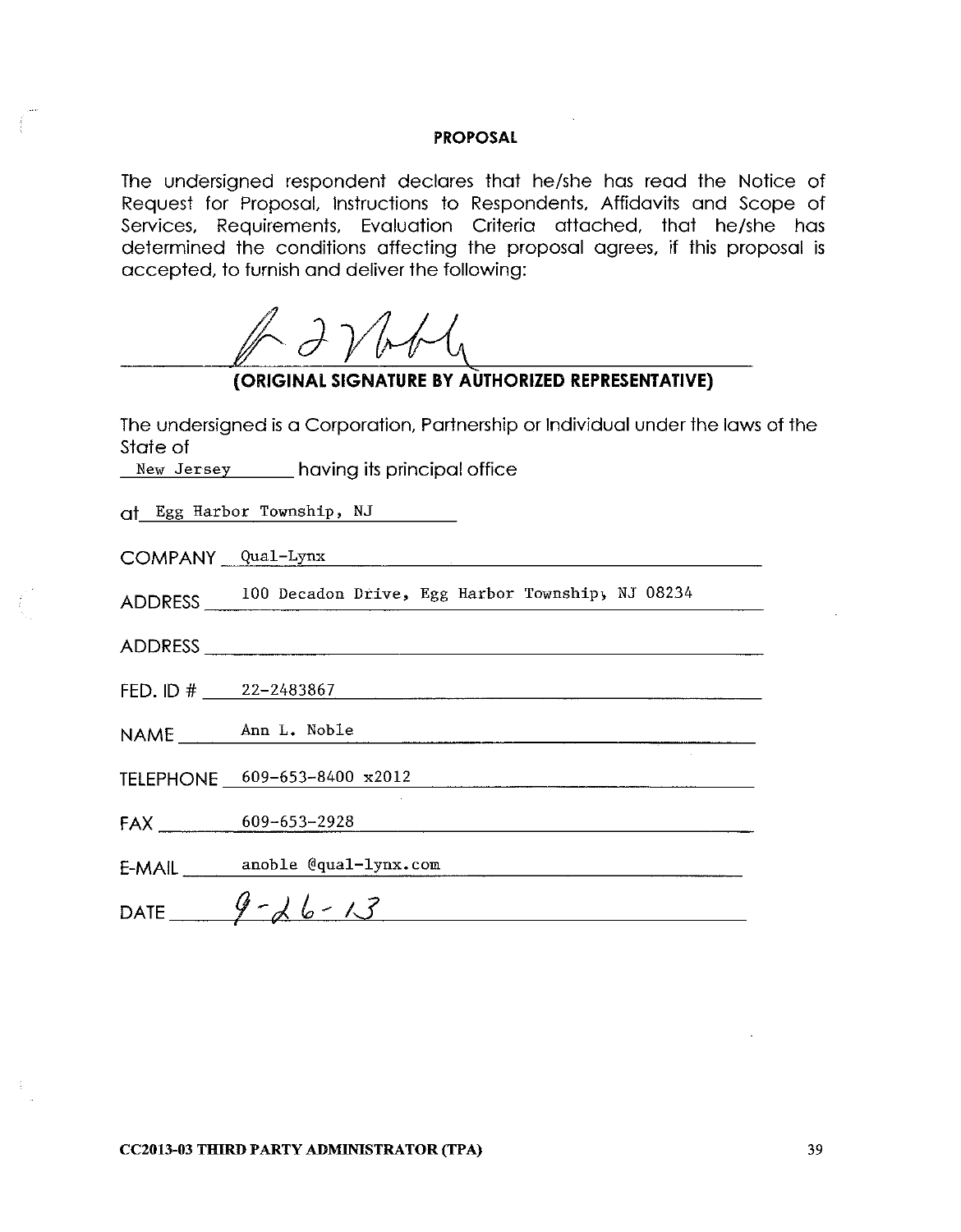The undersigned respondent declares that he/she has read the Notice of Request for Proposal, Instructions to Respondents, Affidavits and Scope of Services, Requirements, Evaluation Criteria attached, that he/she has determined the conditions affecting the proposal agrees, if this proposal is accepted, to furnish and deliver the following:

 $A$  2 $V$  bby

# (ORIGINAL SIGNATURE BY AUTHORIZED REPRESENTATIVE)

The undersigned is a Corporation, Partnership or Individual under the laws of the State of

New Jersey having its principal office

Qt Egg Harbor Township, NJ

COMPANY Qual-Lynx

ADDRESS 100 Decadon Drive, Egg Harbor Township, NJ 08234

ADDRESS AND ARRAIGNMENT CONTROL CONTROL CONTROL CONTROL CONTROL CONTROL CONTROL CONTROL CONTROL CONTROL CONTROL CONTROL CONTROL CONTROL CONTROL CONTROL CONTROL CONTROL CONTROL CONTROL CONTROL CONTROL CONTROL CONTROL CONTRO

FED. ID  $\#$  22-2483867

NAME Ann L. Noble

TELEPHONE 609-653-8400 x2012

 $FAX$  609-653-2928

E-MAIL anoble @qual-lynx.com

DATE  $9-26-13$ 

**CC2013-03 THIRD PARTY ADMINISTRATOR (TPA)**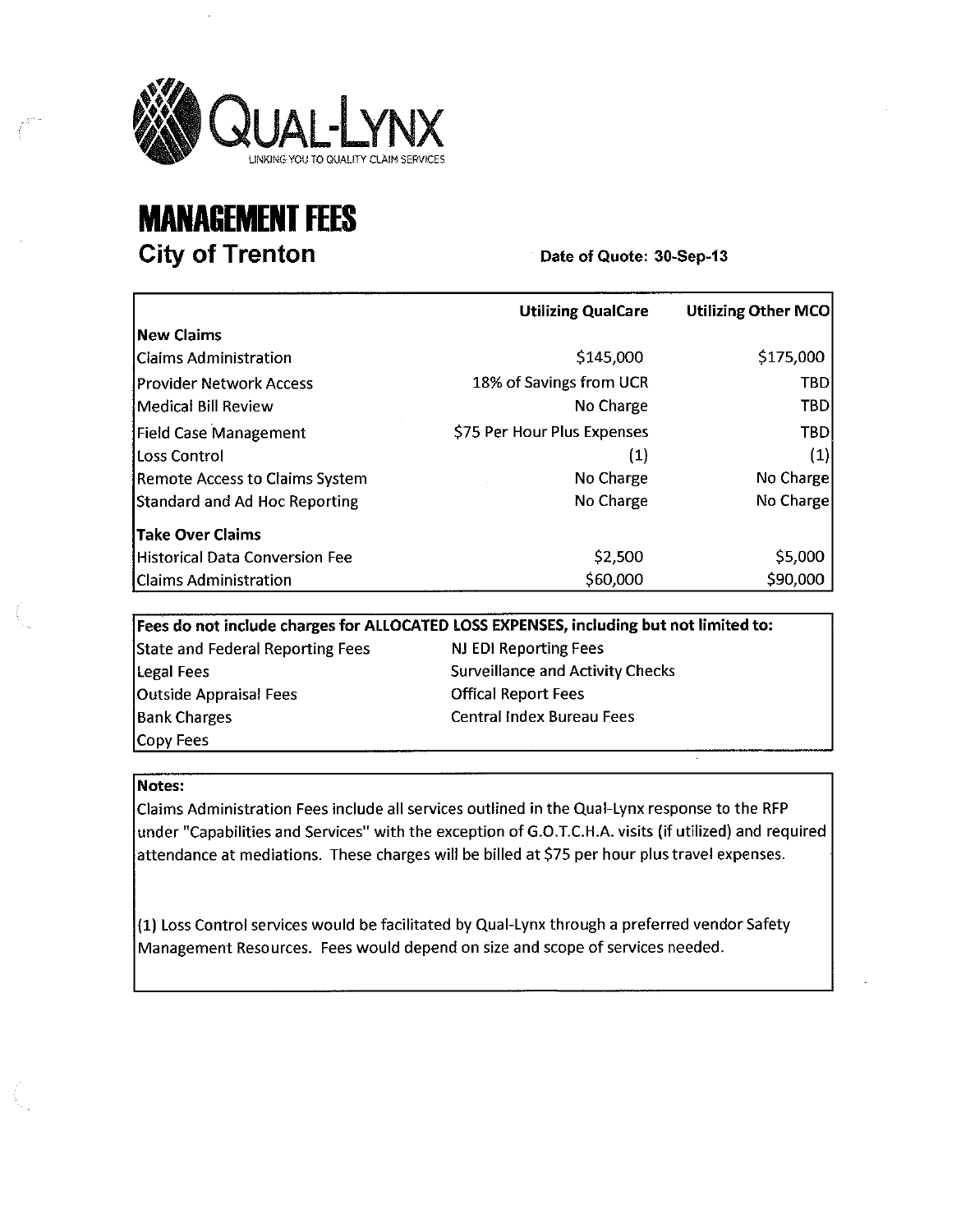

# **MANAGEMENT FEES City of Trenton**

Date of Quote: 30-Sep-13

|                                       | <b>Utilizing QualCare</b>   | <b>Utilizing Other MCO</b> |
|---------------------------------------|-----------------------------|----------------------------|
| lNew Claims                           |                             |                            |
| Claims Administration                 | \$145,000                   | \$175,000                  |
| Provider Network Access               | 18% of Savings from UCR     | <b>TBD</b>                 |
| Medical Bill Review                   | No Charge                   | TBD                        |
| Field Case Management                 | \$75 Per Hour Plus Expenses | TBD                        |
| Loss Control                          | (1)                         | $\left( 1\right)$          |
| <b>Remote Access to Claims System</b> | No Charge                   | No Charge                  |
| Standard and Ad Hoc Reporting         | No Charge                   | No Charge                  |
| Take Over Claims                      |                             |                            |
| <b>Historical Data Conversion Fee</b> | \$2,500                     | \$5,000                    |
| <b>Claims Administration</b>          | \$60,000                    | \$90,000                   |

Fees do not include charges for ALLOCATED LOSS EXPENSES, including but not limited to: **State and Federal Reporting Fees** NJ EDI Reporting Fees **Surveillance and Activity Checks Legal Fees Offical Report Fees Outside Appraisal Fees Central Index Bureau Fees Bank Charges** Copy Fees

#### Notes:

Claims Administration Fees include all services outlined in the Qual-Lynx response to the RFP under "Capabilities and Services" with the exception of G.O.T.C.H.A. visits (if utilized) and required attendance at mediations. These charges will be billed at \$75 per hour plus travel expenses.

(1) Loss Control services would be facilitated by Qual-Lynx through a preferred vendor Safety Management Resources. Fees would depend on size and scope of services needed.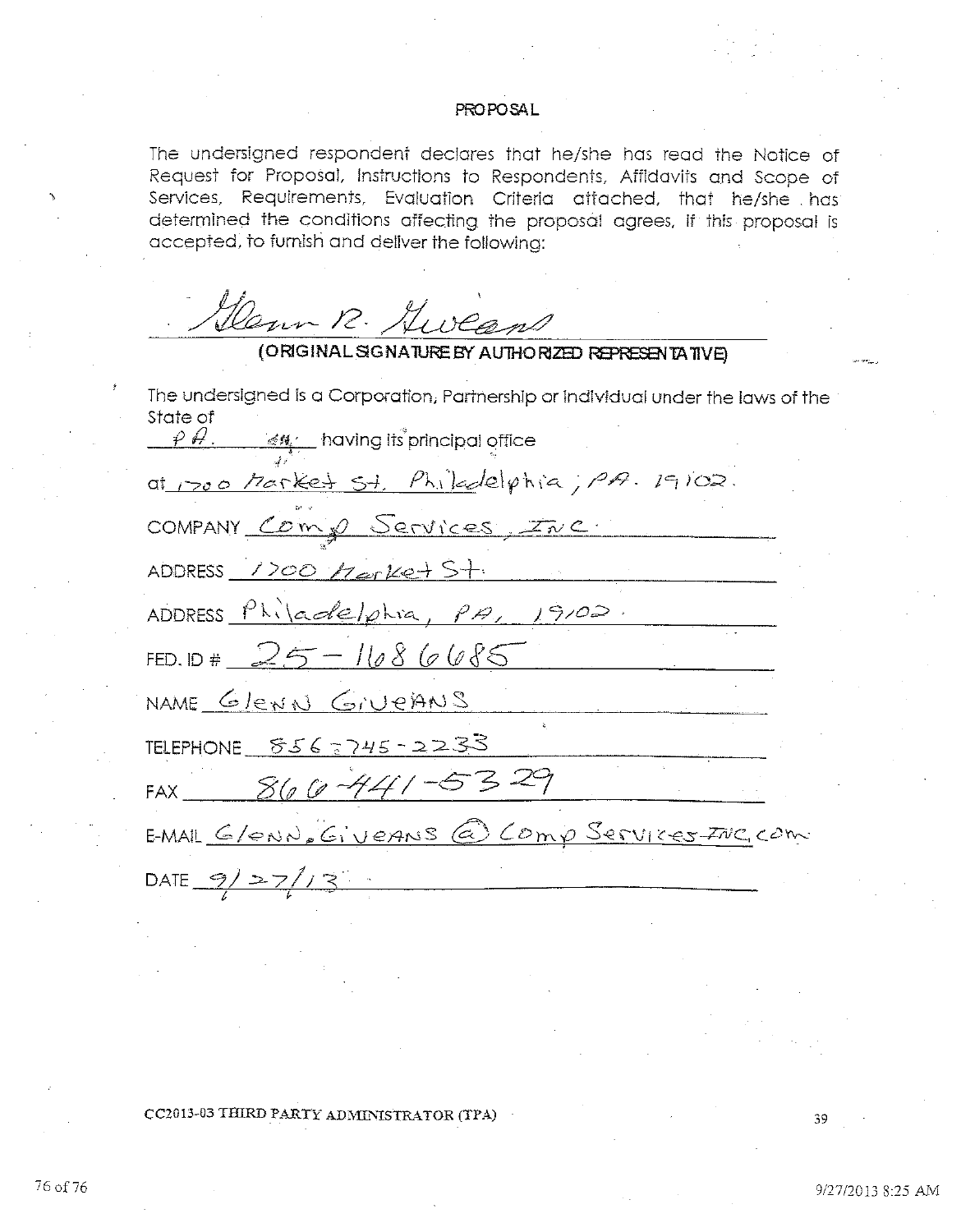The undersigned respondent declares that he/she has read the Notice of Request for Proposal, Instructions to Respondents, Affidavits and Scope of Services, Requirements, Evaluation Criteria attached, that he/she has determined the conditions affecting the proposal agrees, if this proposal is accepted, to furnish and deliver the following:

Genn R. Gweens

## (ORIGINAL SIGNATURE BY AUTHORIZED REPRESENTATIVE)

The undersigned is a Corporation, Partnership or individual under the laws of the State of

 $\rho \, \theta$ ,  $\mathcal{M}$  having its principal office at 1700 Market St. Philadelphia, PA. 19102. COMPANY Comp Services, Inc. ADDRESS 1700  $H$  ar Ket St. ADDRESS Philadelphia, PA, 19102. FED. ID#  $25 - 1686085$ NAME GleNN GIVEANS TELEPHONE 856 - 745 - 2233<br>FAX 860 - 441 - 5329 TELEPHONE  $8562745 - 2233$ EMAIL G/ENN, GIVEANS @ COMP SERVICES INC. COM DATE  $9/27/13$ 

CC2013-03 THIRD PARTY ADMINISTRATOR (TPA)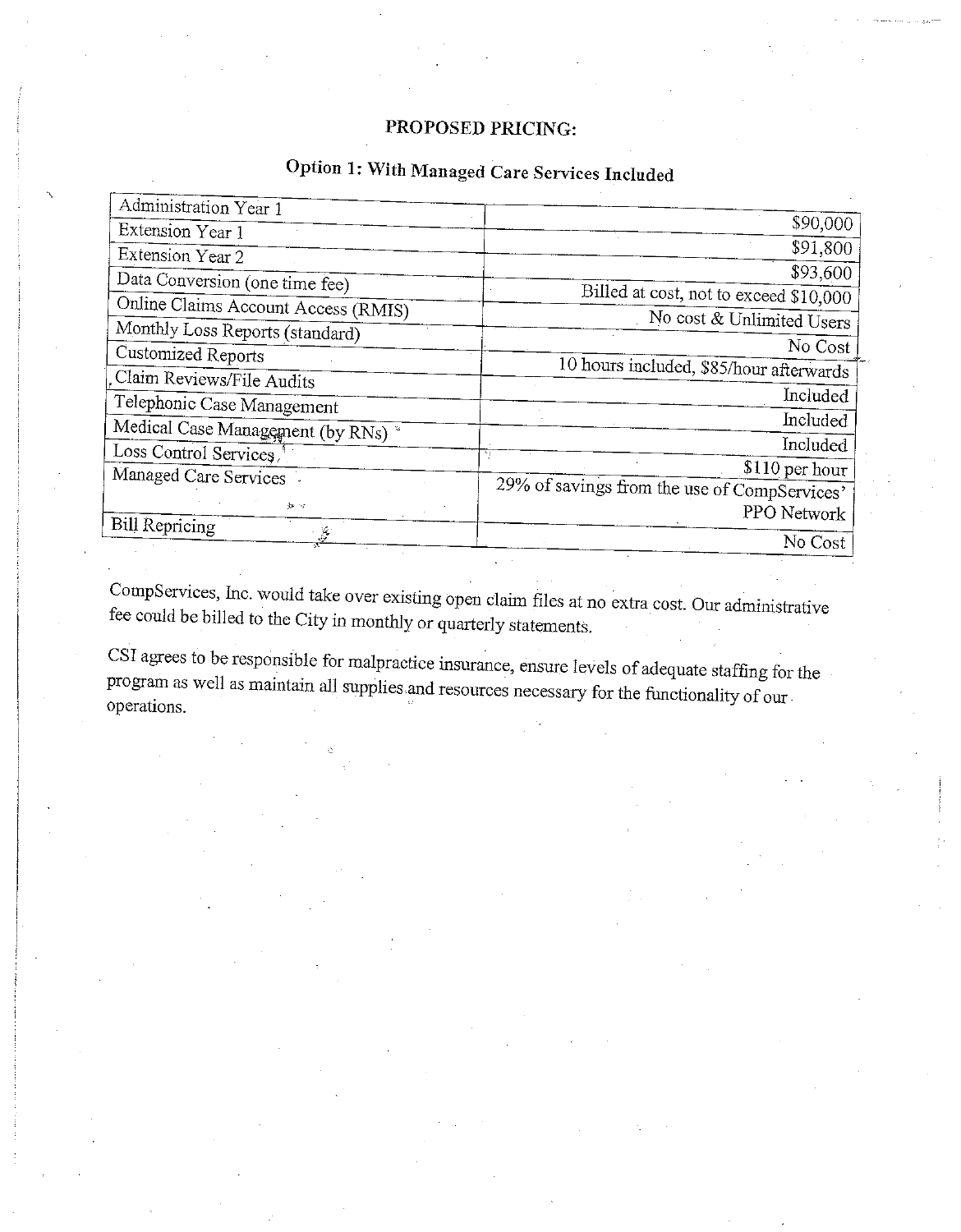# PROPOSED PRICING:

# Option 1: With Managed Care Services Included

| Administration Year 1               |                                              |  |
|-------------------------------------|----------------------------------------------|--|
| Extension Year 1                    | \$90,000                                     |  |
| Extension Year 2                    | \$91,800                                     |  |
| Data Conversion (one time fee)      | \$93,600                                     |  |
| Online Claims Account Access (RMIS) | Billed at cost, not to exceed \$10,000       |  |
| Monthly Loss Reports (standard)     | No cost & Unlimited Users                    |  |
| Customized Reports                  | No Cost                                      |  |
| Claim Reviews/File Audits           | 10 hours included, \$85/hour afterwards      |  |
| Telephonic Case Management          | Included                                     |  |
|                                     | Included                                     |  |
| Medical Case Management (by RNs)    | Included                                     |  |
| Loss Control Services               | \$110 per hour                               |  |
| Managed Care Services               | 29% of savings from the use of CompServices' |  |
| 如何                                  | PPO Network                                  |  |
| <b>Bill Repricing</b><br>ý.         | No Cost                                      |  |
|                                     |                                              |  |

CompServices, Inc. would take over existing open claim files at no extra cost. Our administrative fee could be billed to the City in monthly or quarterly statements.

CSI agrees to be responsible for malpractice insurance, ensure levels of adequate staffing for the program as well as maintain all supplies and resources necessary for the functionality of our operations.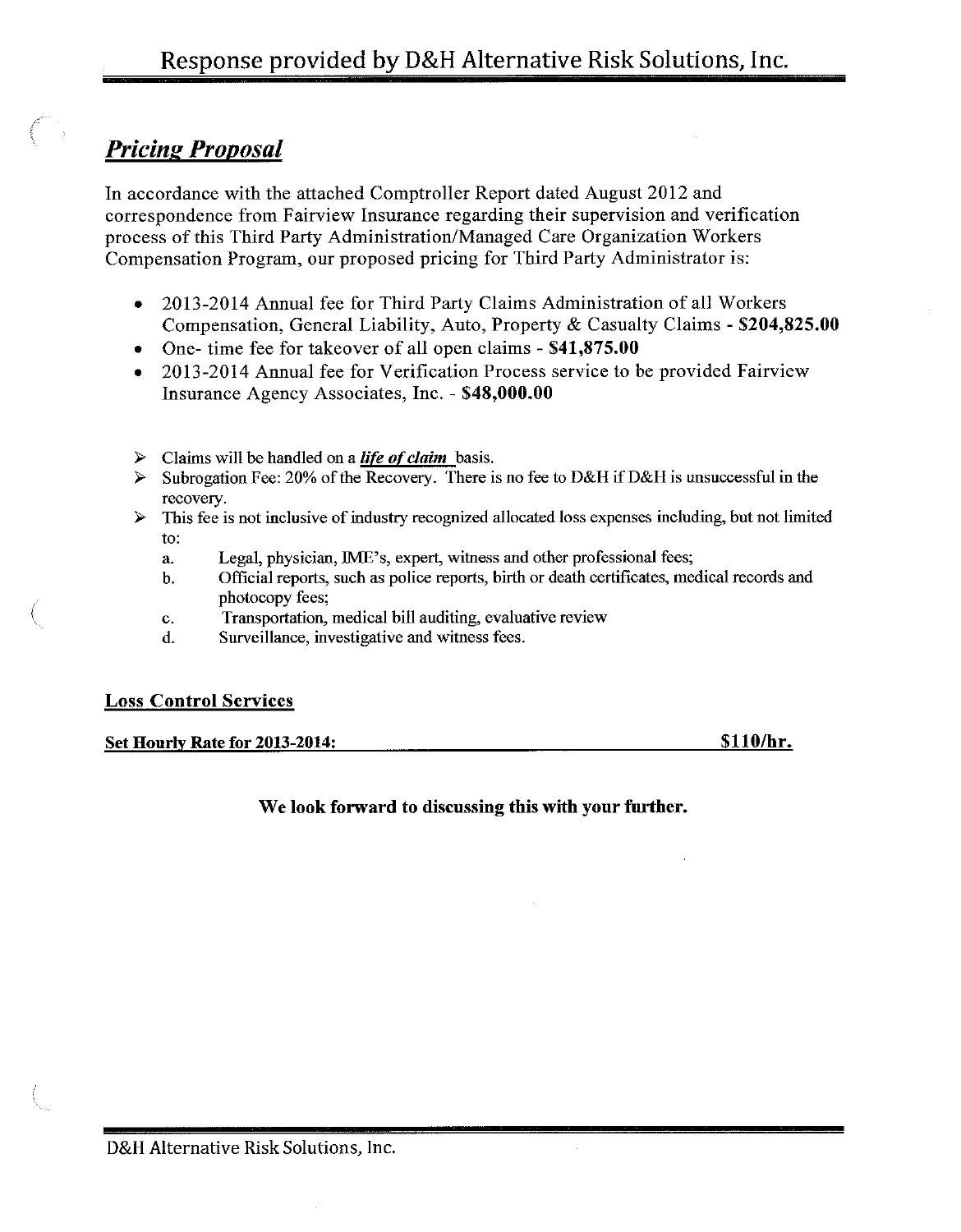# **Pricing Proposal**

In accordance with the attached Comptroller Report dated August 2012 and correspondence from Fairview Insurance regarding their supervision and verification process of this Third Party Administration/Managed Care Organization Workers Compensation Program, our proposed pricing for Third Party Administrator is:

- 2013-2014 Annual fee for Third Party Claims Administration of all Workers  $\bullet$ Compensation, General Liability, Auto, Property & Casualty Claims - \$204,825.00
- One- time fee for takeover of all open claims \$41,875.00
- 2013-2014 Annual fee for Verification Process service to be provided Fairview  $\bullet$ Insurance Agency Associates, Inc. - \$48,000.00
- Claims will be handled on a *life of claim* basis. ⋗
- Subrogation Fee: 20% of the Recovery. There is no fee to D&H if D&H is unsuccessful in the  $\blacktriangleright$ recovery.
- This fee is not inclusive of industry recognized allocated loss expenses including, but not limited  $\blacktriangleright$ to:
	- Legal, physician, IME's, expert, witness and other professional fees;  $\mathbf{a}$
	- Official reports, such as police reports, birth or death certificates, medical records and b. photocopy fees;
	- Transportation, medical bill auditing, evaluative review  $\mathbf{c}$ .
	- d. Surveillance, investigative and witness fees.

## **Loss Control Services**

Set Hourly Rate for 2013-2014:

\$110/hr.

## We look forward to discussing this with your further.